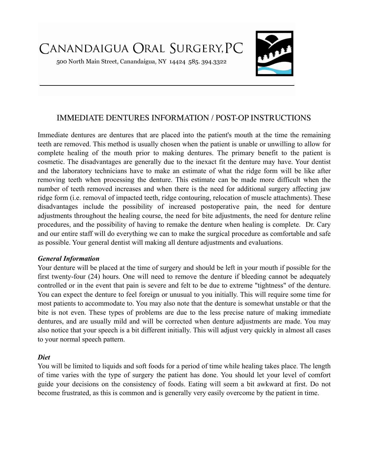500 North Main Street, Canandaigua, NY 14424 585. 394.3322



# IMMEDIATE DENTURES INFORMATION / POST-OP INSTRUCTIONS

Immediate dentures are dentures that are placed into the patient's mouth at the time the remaining teeth are removed. This method is usually chosen when the patient is unable or unwilling to allow for complete healing of the mouth prior to making dentures. The primary benefit to the patient is cosmetic. The disadvantages are generally due to the inexact fit the denture may have. Your dentist and the laboratory technicians have to make an estimate of what the ridge form will be like after removing teeth when processing the denture. This estimate can be made more difficult when the number of teeth removed increases and when there is the need for additional surgery affecting jaw ridge form (i.e. removal of impacted teeth, ridge contouring, relocation of muscle attachments). These disadvantages include the possibility of increased postoperative pain, the need for denture adjustments throughout the healing course, the need for bite adjustments, the need for denture reline procedures, and the possibility of having to remake the denture when healing is complete. Dr. Cary and our entire staff will do everything we can to make the surgical procedure as comfortable and safe as possible. Your general dentist will making all denture adjustments and evaluations.

#### *General Information*

Your denture will be placed at the time of surgery and should be left in your mouth if possible for the first twenty-four (24) hours. One will need to remove the denture if bleeding cannot be adequately controlled or in the event that pain is severe and felt to be due to extreme "tightness" of the denture. You can expect the denture to feel foreign or unusual to you initially. This will require some time for most patients to accommodate to. You may also note that the denture is somewhat unstable or that the bite is not even. These types of problems are due to the less precise nature of making immediate dentures, and are usually mild and will be corrected when denture adjustments are made. You may also notice that your speech is a bit different initially. This will adjust very quickly in almost all cases to your normal speech pattern.

#### *Diet*

You will be limited to liquids and soft foods for a period of time while healing takes place. The length of time varies with the type of surgery the patient has done. You should let your level of comfort guide your decisions on the consistency of foods. Eating will seem a bit awkward at first. Do not become frustrated, as this is common and is generally very easily overcome by the patient in time.